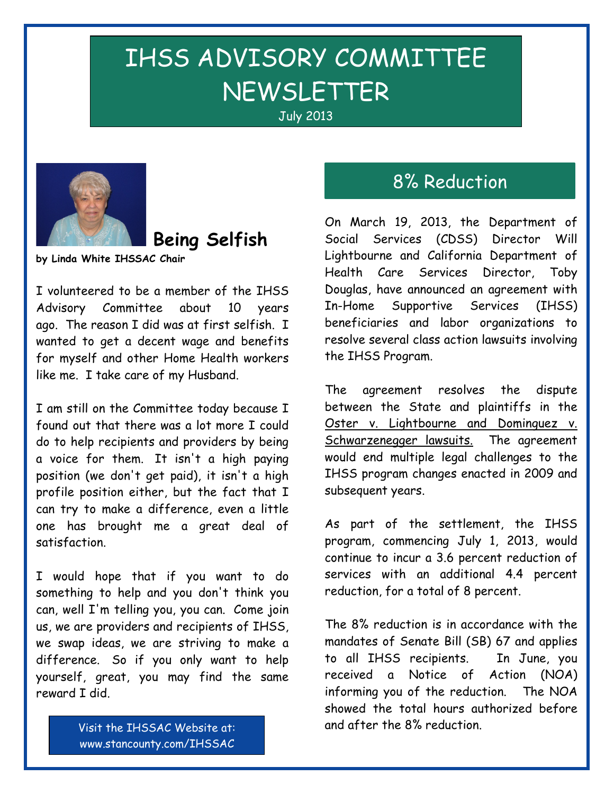# IHSS ADVISORY COMMITTEE NEWSLETTER



## **Being Selfish**

**by Linda White IHSSAC Chair**

I volunteered to be a member of the IHSS Advisory Committee about 10 years ago. The reason I did was at first selfish. I wanted to get a decent wage and benefits for myself and other Home Health workers like me. I take care of my Husband.

I am still on the Committee today because I found out that there was a lot more I could do to help recipients and providers by being a voice for them. It isn't a high paying position (we don't get paid), it isn't a high profile position either, but the fact that I can try to make a difference, even a little one has brought me a great deal of satisfaction.

I would hope that if you want to do something to help and you don't think you can, well I'm telling you, you can. Come join us, we are providers and recipients of IHSS, we swap ideas, we are striving to make a difference. So if you only want to help yourself, great, you may find the same reward I did.

# 8% Reduction

On March 19, 2013, the Department of Social Services (CDSS) Director Will Lightbourne and California Department of Health Care Services Director, Toby Douglas, have announced an agreement with In-Home Supportive Services (IHSS) beneficiaries and labor organizations to resolve several class action lawsuits involving the IHSS Program.

The agreement resolves the dispute between the State and plaintiffs in the Oster v. Lightbourne and Dominguez v. Schwarzenegger lawsuits. The agreement would end multiple legal challenges to the IHSS program changes enacted in 2009 and subsequent years.

As part of the settlement, the IHSS program, commencing July 1, 2013, would continue to incur a 3.6 percent reduction of services with an additional 4.4 percent reduction, for a total of 8 percent.

The 8% reduction is in accordance with the mandates of Senate Bill (SB) 67 and applies to all IHSS recipients. In June, you received a Notice of Action (NOA) informing you of the reduction. The NOA showed the total hours authorized before and after the 8% reduction.

Visit the IHSSAC Website at: www.stancounty.com/IHSSAC